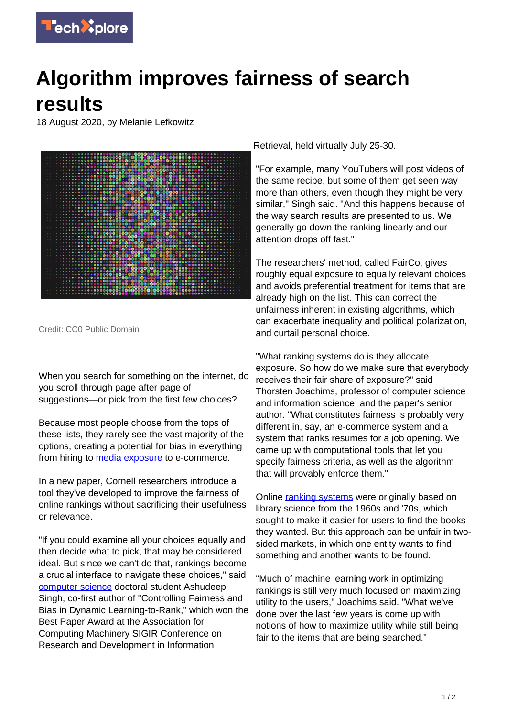

## **Algorithm improves fairness of search results**

18 August 2020, by Melanie Lefkowitz



Credit: CC0 Public Domain

When you search for something on the internet, do you scroll through page after page of suggestions—or pick from the first few choices?

Because most people choose from the tops of these lists, they rarely see the vast majority of the options, creating a potential for bias in everything from hiring to [media exposure](https://techxplore.com/tags/media+exposure/) to e-commerce.

In a new paper, Cornell researchers introduce a tool they've developed to improve the fairness of online rankings without sacrificing their usefulness or relevance.

"If you could examine all your choices equally and then decide what to pick, that may be considered ideal. But since we can't do that, rankings become a crucial interface to navigate these choices," said [computer science](https://techxplore.com/tags/computer+science/) doctoral student Ashudeep Singh, co-first author of "Controlling Fairness and Bias in Dynamic Learning-to-Rank," which won the Best Paper Award at the Association for Computing Machinery SIGIR Conference on Research and Development in Information

Retrieval, held virtually July 25-30.

"For example, many YouTubers will post videos of the same recipe, but some of them get seen way more than others, even though they might be very similar," Singh said. "And this happens because of the way search results are presented to us. We generally go down the ranking linearly and our attention drops off fast."

The researchers' method, called FairCo, gives roughly equal exposure to equally relevant choices and avoids preferential treatment for items that are already high on the list. This can correct the unfairness inherent in existing algorithms, which can exacerbate inequality and political polarization, and curtail personal choice.

"What ranking systems do is they allocate exposure. So how do we make sure that everybody receives their fair share of exposure?" said Thorsten Joachims, professor of computer science and information science, and the paper's senior author. "What constitutes fairness is probably very different in, say, an e-commerce system and a system that ranks resumes for a job opening. We came up with computational tools that let you specify fairness criteria, as well as the algorithm that will provably enforce them."

Online [ranking systems](https://techxplore.com/tags/ranking+systems/) were originally based on library science from the 1960s and '70s, which sought to make it easier for users to find the books they wanted. But this approach can be unfair in twosided markets, in which one entity wants to find something and another wants to be found.

"Much of machine learning work in optimizing rankings is still very much focused on maximizing utility to the users," Joachims said. "What we've done over the last few years is come up with notions of how to maximize utility while still being fair to the items that are being searched."